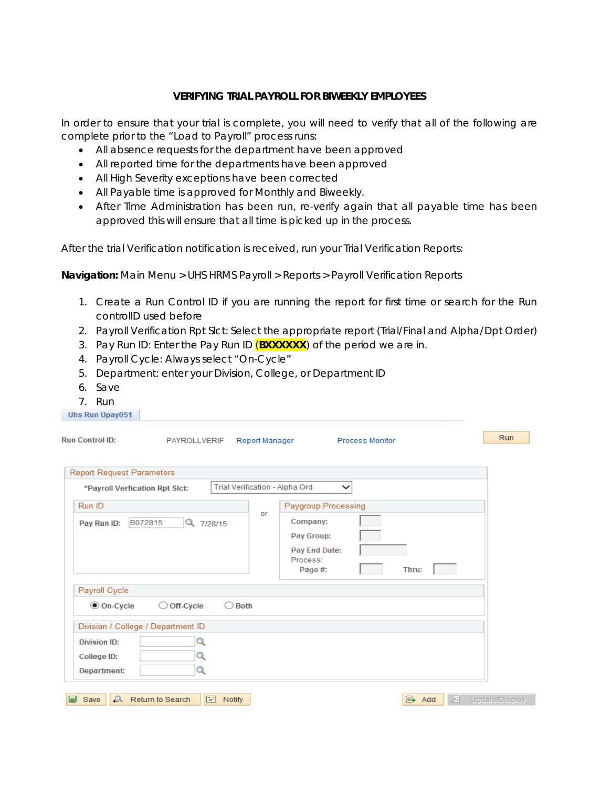## **VERIFYING TRIAL PAYROLL FOR BIWEEKLY EMPLOYEES**

In order to ensure that your trial is complete, you will need to verify that all of the following are complete prior to the "Load to Payroll" process runs:

- All absence requests for the department have been approved
- All reported time for the departments have been approved
- All High Severity exceptions have been corrected
- All Payable time is approved for Monthly and Biweekly.
- After Time Administration has been run, re-verify again that all payable time has been approved this will ensure that all time is picked up in the process.

After the trial Verification notification is received, run your Trial Verification Reports:

**Navigation:** Main Menu > UHS HRMS Payroll > Reports > Payroll Verification Reports

- 1. Create a Run Control ID if you are running the report for first time or search for the Run controlID used before
- 2. Payroll Verification Rpt Slct: Select the appropriate report (Trial/Final and Alpha/Dpt Order)
- 3. Pay Run ID: Enter the Pay Run ID (**BXXXXXX**) of the period we are in.
- 4. Payroll Cycle: Always select "On-Cycle"
- 5. Department: enter your Division, College, or Department ID
- 6. Save
- 7. Run

| <b>Run Control ID:</b>             |                           |             |                |                                                |                        |        |   | Run            |
|------------------------------------|---------------------------|-------------|----------------|------------------------------------------------|------------------------|--------|---|----------------|
|                                    | <b>PAYROLLVERIF</b>       |             | Report Manager |                                                | <b>Process Monitor</b> |        |   |                |
|                                    |                           |             |                |                                                |                        |        |   |                |
| <b>Report Request Parameters</b>   |                           |             |                |                                                |                        |        |   |                |
| *Payroll Verfication Rpt Slct:     |                           |             |                | Trial Verification - Alpha Ord<br>$\checkmark$ |                        |        |   |                |
| Run ID                             |                           |             |                | Paygroup Processing                            |                        |        |   |                |
| Pay Run ID:                        | B072815<br>Q 7/28/15      |             | or             | Company:                                       |                        |        |   |                |
|                                    |                           |             |                | Pay Group:                                     |                        |        |   |                |
|                                    |                           |             |                | <b>Pay End Date:</b>                           |                        |        |   |                |
|                                    |                           |             |                | Process:                                       |                        |        |   |                |
|                                    |                           |             |                | Page #:                                        |                        | Thru:  |   |                |
| Payroll Cycle                      |                           |             |                |                                                |                        |        |   |                |
| $\odot$ On-Cycle                   | $\bigcirc$ Off-Cycle      | <b>Both</b> |                |                                                |                        |        |   |                |
| Division / College / Department ID |                           |             |                |                                                |                        |        |   |                |
|                                    |                           |             |                |                                                |                        |        |   |                |
| <b>Division ID:</b>                | Q                         |             |                |                                                |                        |        |   |                |
| College ID:                        | Q                         |             |                |                                                |                        |        |   |                |
| Department:                        | Q                         |             |                |                                                |                        |        |   |                |
|                                    |                           |             |                |                                                |                        |        |   |                |
| 團<br>Save                          | <b>A</b> Return to Search | 圖<br>Notify |                |                                                |                        | E+ Add | 凅 | Update/Display |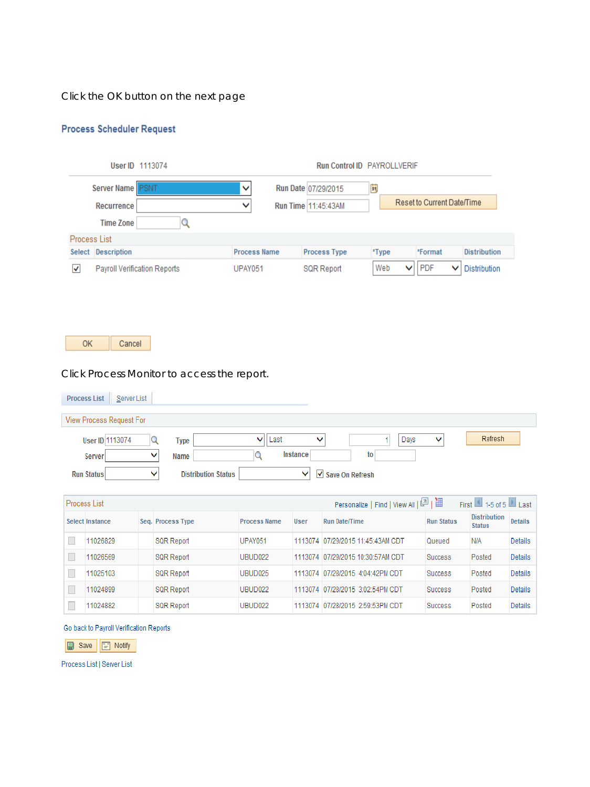Click the OK button on the next page

## **Process Scheduler Request**

|                      | User ID 1113074                     |                     | <b>Run Control ID PAYROLLVERIF</b> |          |                            |                     |
|----------------------|-------------------------------------|---------------------|------------------------------------|----------|----------------------------|---------------------|
|                      | Server Name <b>PSNT</b>             | ∨                   | Run Date 07/29/2015                | 31       |                            |                     |
|                      | <b>Recurrence</b>                   | ◡                   | Run Time 11:45:43AM                |          | Reset to Current Date/Time |                     |
|                      | <b>Time Zone</b>                    |                     |                                    |          |                            |                     |
| Process List         |                                     |                     |                                    |          |                            |                     |
| Select               | <b>Description</b>                  | <b>Process Name</b> | <b>Process Type</b>                | *Type    | *Format                    | <b>Distribution</b> |
| $\blacktriangledown$ | <b>Payroll Verification Reports</b> | <b>UPAY051</b>      | <b>SQR Report</b>                  | Web<br>◡ | <b>PDF</b><br>v            | <b>Distribution</b> |

OK Cancel

Click Process Monitor to access the report.

| <b>Process List</b><br>Server List |                                                                  |
|------------------------------------|------------------------------------------------------------------|
| View Process Request For           |                                                                  |
| User ID 1113074                    | Refresh<br>Days<br>Last<br>$\checkmark$<br>v<br><b>Type</b><br>◡ |
| Server                             | <b>Instance</b><br>to<br>Name                                    |
| <b>Run Status</b><br>◡             | <b>Distribution Status</b><br>$\vee$ Save On Refresh             |

| Process List    |                   |                     |      | Personalize   Find   View All   2 |                   | First 1-5 of 5 Last                  |                |
|-----------------|-------------------|---------------------|------|-----------------------------------|-------------------|--------------------------------------|----------------|
| Select Instance | Seq. Process Type | <b>Process Name</b> | User | <b>Run Date/Time</b>              | <b>Run Status</b> | <b>Distribution</b><br><b>Status</b> | <b>Details</b> |
| 11026829        | <b>SQR Report</b> | <b>UPAY051</b>      |      | 1113074 07/29/2015 11:45:43AM CDT | Queued            | N/A                                  | <b>Details</b> |
| 11026569        | <b>SQR Report</b> | UBUD022             |      | 1113074 07/29/2015 10:30:57AM CDT | <b>Success</b>    | Posted                               | <b>Details</b> |
| 11025103        | <b>SQR Report</b> | UBUD025             |      | 1113074 07/28/2015 4:04:42PM CDT  | <b>Success</b>    | Posted                               | <b>Details</b> |
| 11024899        | <b>SQR Report</b> | UBUD022             |      | 1113074 07/28/2015 3:02:54PM CDT  | <b>Success</b>    | Posted                               | <b>Details</b> |
| 11024882        | <b>SQR Report</b> | UBUD022             |      | 1113074 07/28/2015 2:59:53PM CDT  | <b>Success</b>    | Posted                               | <b>Details</b> |

Go back to Payroll Verification Reports

Save [ Notify

Process List | Server List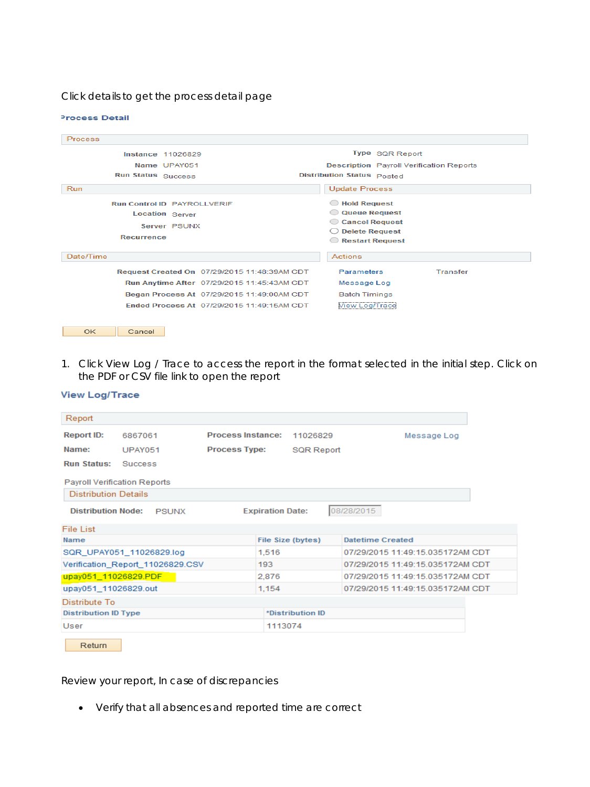Click details to get the process detail page

| Process                                      |                                                 |
|----------------------------------------------|-------------------------------------------------|
| <b>Instance 11026829</b>                     | Type SQR Report                                 |
| Name UPAY051                                 | <b>Description</b> Payroll Verification Reports |
| <b>Run Status</b> Success                    | Distribution Status Posted                      |
| Run                                          | <b>Update Process</b>                           |
| <b>Run Control ID PAYROLLVERIE</b>           | Hold Request                                    |
| <b>Location Server</b>                       | <b>Queue Request</b><br>$\bigcirc$              |
| Server PSUNX                                 | Cancel Request                                  |
|                                              | <b>Delete Request</b><br>- 3                    |
| Recurrence                                   | Restart Request                                 |
| Date/Time                                    | Actions                                         |
| Request Created On 07/29/2015 11:48:39AM CDT | Parameters<br>Transfer                          |
| Run Anytime After 07/29/2015 11:45:43AM CDT  | Message Log                                     |
| Began Process At 07/29/2015 11:49:00AM CDT   | <b>Batch Timings</b>                            |
| Fnded Process At 07/29/2015 11:49:15AM CDT   | <b>View Log/Trace</b>                           |
|                                              |                                                 |
| OK<br>Cancel                                 |                                                 |

1. Click View Log / Trace to access the report in the format selected in the initial step. Click on the PDF or CSV file link to open the report

| <b>View Log/Trace</b> |
|-----------------------|
|                       |

**Process Detail** 

| Report                               |                                  |                          |                         |                   |                                                                                                                                              |
|--------------------------------------|----------------------------------|--------------------------|-------------------------|-------------------|----------------------------------------------------------------------------------------------------------------------------------------------|
| Report ID:                           | 6867061                          | <b>Process Instance:</b> |                         | 11026829          | Message Log                                                                                                                                  |
| Name:                                | <b>UPAY051</b>                   | <b>Process Type:</b>     |                         | <b>SQR Report</b> |                                                                                                                                              |
| <b>Run Status:</b><br><b>Success</b> |                                  |                          |                         |                   |                                                                                                                                              |
| <b>Payroll Verification Reports</b>  |                                  |                          |                         |                   |                                                                                                                                              |
| <b>Distribution Details</b>          |                                  |                          |                         |                   |                                                                                                                                              |
| <b>Distribution Node:</b>            | PSUNX                            |                          | <b>Expiration Date:</b> |                   | 08/28/2015                                                                                                                                   |
| File List                            |                                  |                          |                         |                   |                                                                                                                                              |
| <b>Name</b>                          |                                  |                          |                         | File Size (bytes) | <b>Datetime Created</b>                                                                                                                      |
| SQR UPAY051 11026829.log             |                                  |                          |                         |                   |                                                                                                                                              |
|                                      |                                  |                          | 1,516                   |                   |                                                                                                                                              |
|                                      | Verification_Report_11026829.CSV |                          | 193                     |                   |                                                                                                                                              |
| upay051 11026829.PDF                 |                                  |                          | 2,876                   |                   |                                                                                                                                              |
| upay051_11026829.out                 |                                  |                          | 1,154                   |                   |                                                                                                                                              |
| Distribute To                        |                                  |                          |                         |                   | 07/29/2015 11:49:15 035172AM CDT<br>07/29/2015 11:49:15.035172AM CDT<br>07/29/2015 11:49:15.035172AM CDT<br>07/29/2015 11:49:15.035172AM CDT |
| <b>Distribution ID Type</b>          |                                  |                          |                         | *Distribution ID  |                                                                                                                                              |

Review your report, In case of discrepancies

• Verify that all absences and reported time are correct